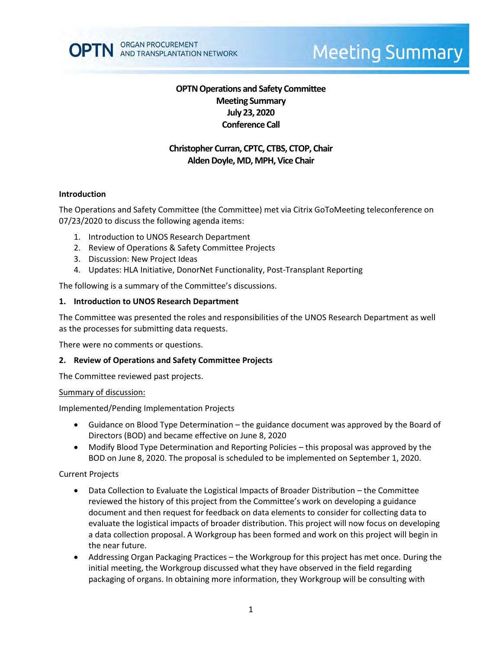

# **Meeting Summary**

# **OPTN Operations and Safety Committee Meeting Summary July 23, 2020 Conference Call**

# **Christopher Curran, CPTC, CTBS, CTOP, Chair Alden Doyle, MD, MPH, Vice Chair**

#### **Introduction**

The Operations and Safety Committee (the Committee) met via Citrix GoToMeeting teleconference on 07/23/2020 to discuss the following agenda items:

- 1. Introduction to UNOS Research Department
- 2. Review of Operations & Safety Committee Projects
- 3. Discussion: New Project Ideas
- 4. Updates: HLA Initiative, DonorNet Functionality, Post-Transplant Reporting

The following is a summary of the Committee's discussions.

#### **1. Introduction to UNOS Research Department**

The Committee was presented the roles and responsibilities of the UNOS Research Department as well as the processes for submitting data requests.

There were no comments or questions.

#### **2. Review of Operations and Safety Committee Projects**

The Committee reviewed past projects.

#### Summary of discussion:

Implemented/Pending Implementation Projects

- Guidance on Blood Type Determination the guidance document was approved by the Board of Directors (BOD) and became effective on June 8, 2020
- Modify Blood Type Determination and Reporting Policies this proposal was approved by the BOD on June 8, 2020. The proposal is scheduled to be implemented on September 1, 2020.

#### Current Projects

- Data Collection to Evaluate the Logistical Impacts of Broader Distribution the Committee reviewed the history of this project from the Committee's work on developing a guidance document and then request for feedback on data elements to consider for collecting data to evaluate the logistical impacts of broader distribution. This project will now focus on developing a data collection proposal. A Workgroup has been formed and work on this project will begin in the near future.
- Addressing Organ Packaging Practices the Workgroup for this project has met once. During the initial meeting, the Workgroup discussed what they have observed in the field regarding packaging of organs. In obtaining more information, they Workgroup will be consulting with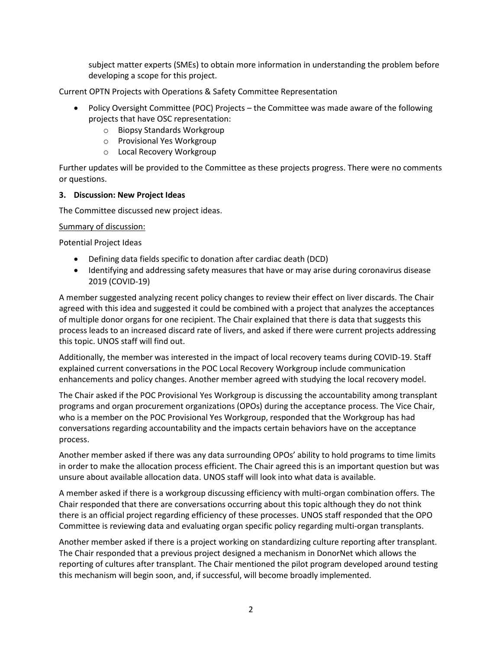subject matter experts (SMEs) to obtain more information in understanding the problem before developing a scope for this project.

Current OPTN Projects with Operations & Safety Committee Representation

- Policy Oversight Committee (POC) Projects the Committee was made aware of the following projects that have OSC representation:
	- o Biopsy Standards Workgroup
	- o Provisional Yes Workgroup
	- o Local Recovery Workgroup

Further updates will be provided to the Committee as these projects progress. There were no comments or questions.

## **3. Discussion: New Project Ideas**

The Committee discussed new project ideas.

#### Summary of discussion:

Potential Project Ideas

- Defining data fields specific to donation after cardiac death (DCD)
- Identifying and addressing safety measures that have or may arise during coronavirus disease 2019 (COVID-19)

A member suggested analyzing recent policy changes to review their effect on liver discards. The Chair agreed with this idea and suggested it could be combined with a project that analyzes the acceptances of multiple donor organs for one recipient. The Chair explained that there is data that suggests this process leads to an increased discard rate of livers, and asked if there were current projects addressing this topic. UNOS staff will find out.

Additionally, the member was interested in the impact of local recovery teams during COVID-19. Staff explained current conversations in the POC Local Recovery Workgroup include communication enhancements and policy changes. Another member agreed with studying the local recovery model.

The Chair asked if the POC Provisional Yes Workgroup is discussing the accountability among transplant programs and organ procurement organizations (OPOs) during the acceptance process. The Vice Chair, who is a member on the POC Provisional Yes Workgroup, responded that the Workgroup has had conversations regarding accountability and the impacts certain behaviors have on the acceptance process.

Another member asked if there was any data surrounding OPOs' ability to hold programs to time limits in order to make the allocation process efficient. The Chair agreed this is an important question but was unsure about available allocation data. UNOS staff will look into what data is available.

A member asked if there is a workgroup discussing efficiency with multi-organ combination offers. The Chair responded that there are conversations occurring about this topic although they do not think there is an official project regarding efficiency of these processes. UNOS staff responded that the OPO Committee is reviewing data and evaluating organ specific policy regarding multi-organ transplants.

Another member asked if there is a project working on standardizing culture reporting after transplant. The Chair responded that a previous project designed a mechanism in DonorNet which allows the reporting of cultures after transplant. The Chair mentioned the pilot program developed around testing this mechanism will begin soon, and, if successful, will become broadly implemented.